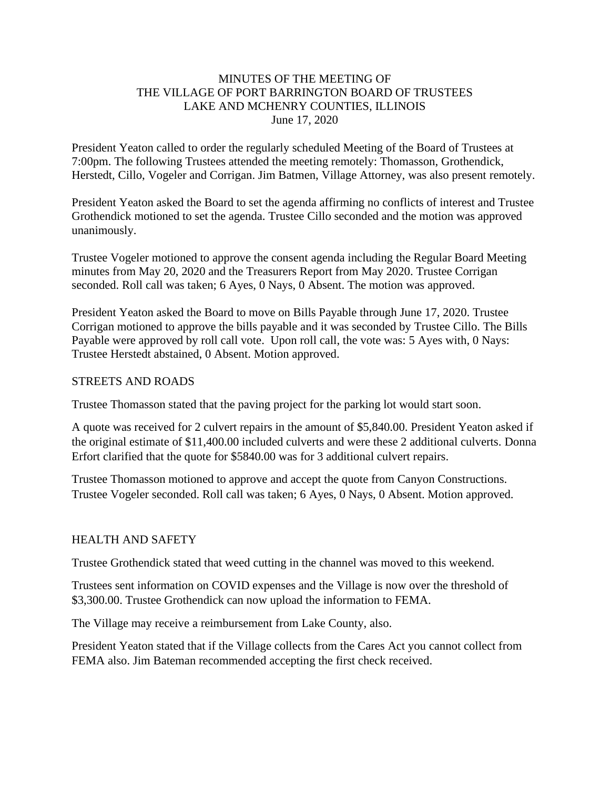### MINUTES OF THE MEETING OF THE VILLAGE OF PORT BARRINGTON BOARD OF TRUSTEES LAKE AND MCHENRY COUNTIES, ILLINOIS June 17, 2020

President Yeaton called to order the regularly scheduled Meeting of the Board of Trustees at 7:00pm. The following Trustees attended the meeting remotely: Thomasson, Grothendick, Herstedt, Cillo, Vogeler and Corrigan. Jim Batmen, Village Attorney, was also present remotely.

President Yeaton asked the Board to set the agenda affirming no conflicts of interest and Trustee Grothendick motioned to set the agenda. Trustee Cillo seconded and the motion was approved unanimously.

Trustee Vogeler motioned to approve the consent agenda including the Regular Board Meeting minutes from May 20, 2020 and the Treasurers Report from May 2020. Trustee Corrigan seconded. Roll call was taken; 6 Ayes, 0 Nays, 0 Absent. The motion was approved.

President Yeaton asked the Board to move on Bills Payable through June 17, 2020. Trustee Corrigan motioned to approve the bills payable and it was seconded by Trustee Cillo. The Bills Payable were approved by roll call vote. Upon roll call, the vote was: 5 Ayes with, 0 Nays: Trustee Herstedt abstained, 0 Absent. Motion approved.

#### STREETS AND ROADS

Trustee Thomasson stated that the paving project for the parking lot would start soon.

A quote was received for 2 culvert repairs in the amount of \$5,840.00. President Yeaton asked if the original estimate of \$11,400.00 included culverts and were these 2 additional culverts. Donna Erfort clarified that the quote for \$5840.00 was for 3 additional culvert repairs.

Trustee Thomasson motioned to approve and accept the quote from Canyon Constructions. Trustee Vogeler seconded. Roll call was taken; 6 Ayes, 0 Nays, 0 Absent. Motion approved.

### HEALTH AND SAFETY

Trustee Grothendick stated that weed cutting in the channel was moved to this weekend.

Trustees sent information on COVID expenses and the Village is now over the threshold of \$3,300.00. Trustee Grothendick can now upload the information to FEMA.

The Village may receive a reimbursement from Lake County, also.

President Yeaton stated that if the Village collects from the Cares Act you cannot collect from FEMA also. Jim Bateman recommended accepting the first check received.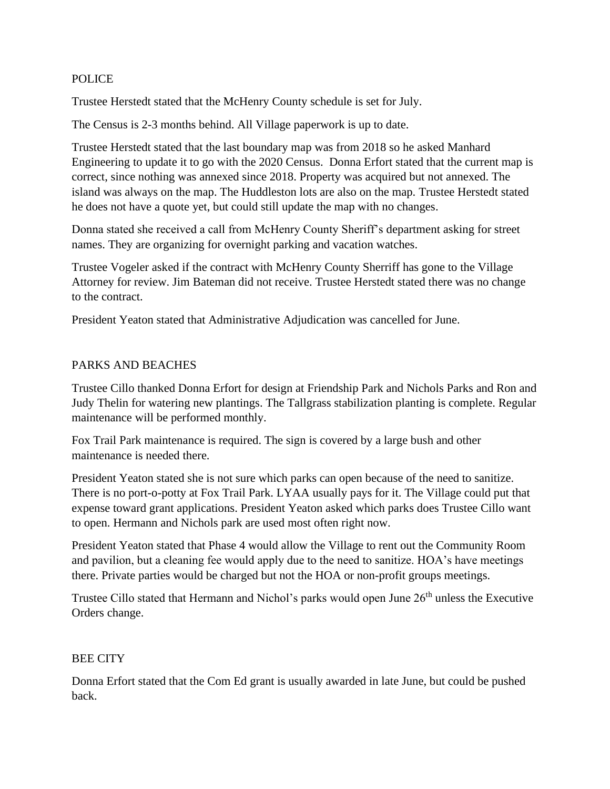### POLICE

Trustee Herstedt stated that the McHenry County schedule is set for July.

The Census is 2-3 months behind. All Village paperwork is up to date.

Trustee Herstedt stated that the last boundary map was from 2018 so he asked Manhard Engineering to update it to go with the 2020 Census. Donna Erfort stated that the current map is correct, since nothing was annexed since 2018. Property was acquired but not annexed. The island was always on the map. The Huddleston lots are also on the map. Trustee Herstedt stated he does not have a quote yet, but could still update the map with no changes.

Donna stated she received a call from McHenry County Sheriff's department asking for street names. They are organizing for overnight parking and vacation watches.

Trustee Vogeler asked if the contract with McHenry County Sherriff has gone to the Village Attorney for review. Jim Bateman did not receive. Trustee Herstedt stated there was no change to the contract.

President Yeaton stated that Administrative Adjudication was cancelled for June.

### PARKS AND BEACHES

Trustee Cillo thanked Donna Erfort for design at Friendship Park and Nichols Parks and Ron and Judy Thelin for watering new plantings. The Tallgrass stabilization planting is complete. Regular maintenance will be performed monthly.

Fox Trail Park maintenance is required. The sign is covered by a large bush and other maintenance is needed there.

President Yeaton stated she is not sure which parks can open because of the need to sanitize. There is no port-o-potty at Fox Trail Park. LYAA usually pays for it. The Village could put that expense toward grant applications. President Yeaton asked which parks does Trustee Cillo want to open. Hermann and Nichols park are used most often right now.

President Yeaton stated that Phase 4 would allow the Village to rent out the Community Room and pavilion, but a cleaning fee would apply due to the need to sanitize. HOA's have meetings there. Private parties would be charged but not the HOA or non-profit groups meetings.

Trustee Cillo stated that Hermann and Nichol's parks would open June 26<sup>th</sup> unless the Executive Orders change.

### BEE CITY

Donna Erfort stated that the Com Ed grant is usually awarded in late June, but could be pushed back.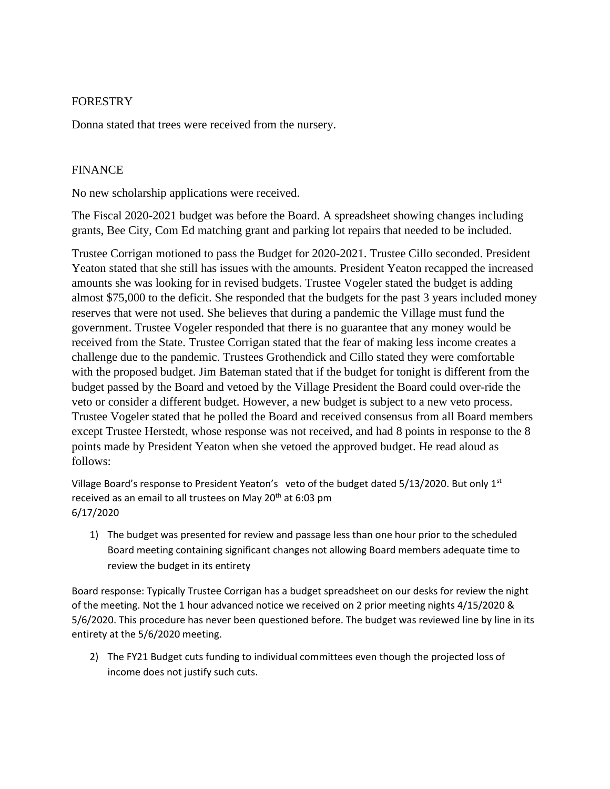### FORESTRY

Donna stated that trees were received from the nursery.

## FINANCE

No new scholarship applications were received.

The Fiscal 2020-2021 budget was before the Board. A spreadsheet showing changes including grants, Bee City, Com Ed matching grant and parking lot repairs that needed to be included.

Trustee Corrigan motioned to pass the Budget for 2020-2021. Trustee Cillo seconded. President Yeaton stated that she still has issues with the amounts. President Yeaton recapped the increased amounts she was looking for in revised budgets. Trustee Vogeler stated the budget is adding almost \$75,000 to the deficit. She responded that the budgets for the past 3 years included money reserves that were not used. She believes that during a pandemic the Village must fund the government. Trustee Vogeler responded that there is no guarantee that any money would be received from the State. Trustee Corrigan stated that the fear of making less income creates a challenge due to the pandemic. Trustees Grothendick and Cillo stated they were comfortable with the proposed budget. Jim Bateman stated that if the budget for tonight is different from the budget passed by the Board and vetoed by the Village President the Board could over-ride the veto or consider a different budget. However, a new budget is subject to a new veto process. Trustee Vogeler stated that he polled the Board and received consensus from all Board members except Trustee Herstedt, whose response was not received, and had 8 points in response to the 8 points made by President Yeaton when she vetoed the approved budget. He read aloud as follows:

Village Board's response to President Yeaton's veto of the budget dated 5/13/2020. But only 1<sup>st</sup> received as an email to all trustees on May  $20<sup>th</sup>$  at 6:03 pm 6/17/2020

1) The budget was presented for review and passage less than one hour prior to the scheduled Board meeting containing significant changes not allowing Board members adequate time to review the budget in its entirety

Board response: Typically Trustee Corrigan has a budget spreadsheet on our desks for review the night of the meeting. Not the 1 hour advanced notice we received on 2 prior meeting nights 4/15/2020 & 5/6/2020. This procedure has never been questioned before. The budget was reviewed line by line in its entirety at the 5/6/2020 meeting.

2) The FY21 Budget cuts funding to individual committees even though the projected loss of income does not justify such cuts.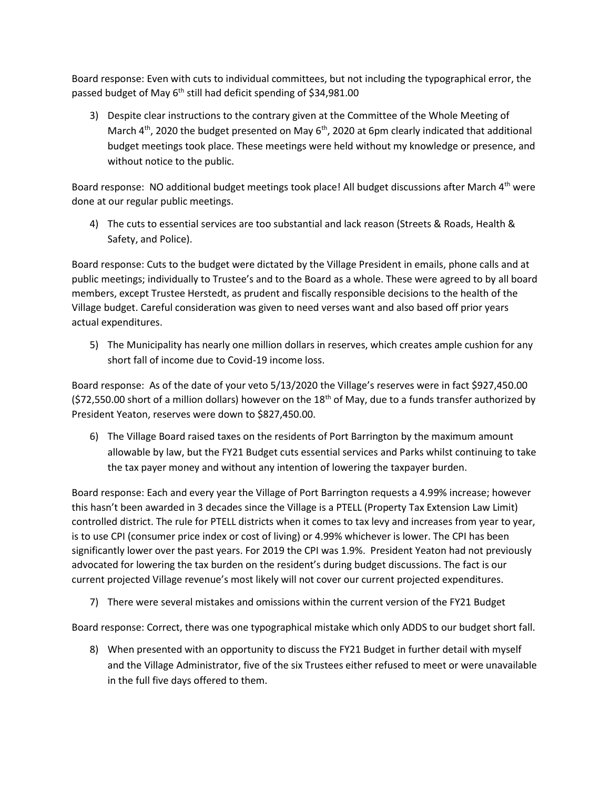Board response: Even with cuts to individual committees, but not including the typographical error, the passed budget of May 6<sup>th</sup> still had deficit spending of \$34,981.00

3) Despite clear instructions to the contrary given at the Committee of the Whole Meeting of March  $4<sup>th</sup>$ , 2020 the budget presented on May  $6<sup>th</sup>$ , 2020 at 6pm clearly indicated that additional budget meetings took place. These meetings were held without my knowledge or presence, and without notice to the public.

Board response: NO additional budget meetings took place! All budget discussions after March  $4<sup>th</sup>$  were done at our regular public meetings.

4) The cuts to essential services are too substantial and lack reason (Streets & Roads, Health & Safety, and Police).

Board response: Cuts to the budget were dictated by the Village President in emails, phone calls and at public meetings; individually to Trustee's and to the Board as a whole. These were agreed to by all board members, except Trustee Herstedt, as prudent and fiscally responsible decisions to the health of the Village budget. Careful consideration was given to need verses want and also based off prior years actual expenditures.

5) The Municipality has nearly one million dollars in reserves, which creates ample cushion for any short fall of income due to Covid-19 income loss.

Board response: As of the date of your veto 5/13/2020 the Village's reserves were in fact \$927,450.00  $(S72,550.00$  short of a million dollars) however on the 18<sup>th</sup> of May, due to a funds transfer authorized by President Yeaton, reserves were down to \$827,450.00.

6) The Village Board raised taxes on the residents of Port Barrington by the maximum amount allowable by law, but the FY21 Budget cuts essential services and Parks whilst continuing to take the tax payer money and without any intention of lowering the taxpayer burden.

Board response: Each and every year the Village of Port Barrington requests a 4.99% increase; however this hasn't been awarded in 3 decades since the Village is a PTELL (Property Tax Extension Law Limit) controlled district. The rule for PTELL districts when it comes to tax levy and increases from year to year, is to use CPI (consumer price index or cost of living) or 4.99% whichever is lower. The CPI has been significantly lower over the past years. For 2019 the CPI was 1.9%. President Yeaton had not previously advocated for lowering the tax burden on the resident's during budget discussions. The fact is our current projected Village revenue's most likely will not cover our current projected expenditures.

7) There were several mistakes and omissions within the current version of the FY21 Budget

Board response: Correct, there was one typographical mistake which only ADDS to our budget short fall.

8) When presented with an opportunity to discuss the FY21 Budget in further detail with myself and the Village Administrator, five of the six Trustees either refused to meet or were unavailable in the full five days offered to them.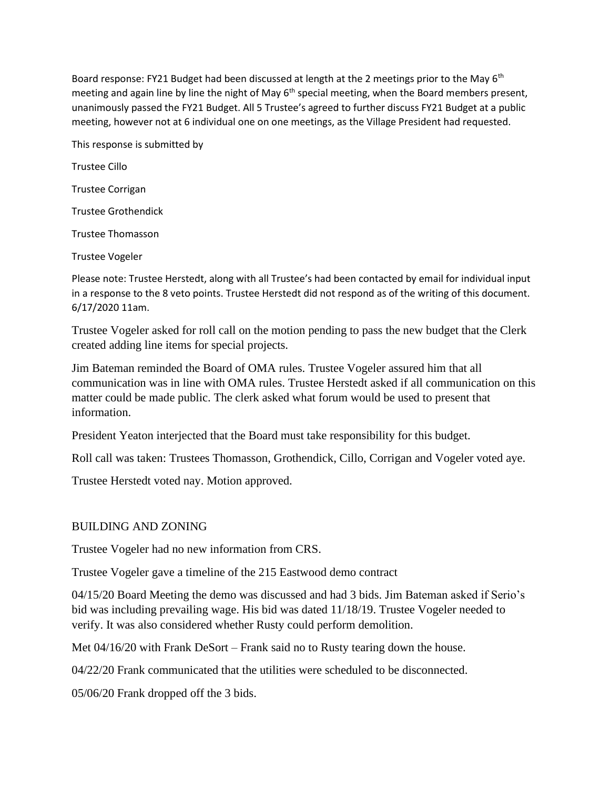Board response: FY21 Budget had been discussed at length at the 2 meetings prior to the May 6<sup>th</sup> meeting and again line by line the night of May 6<sup>th</sup> special meeting, when the Board members present, unanimously passed the FY21 Budget. All 5 Trustee's agreed to further discuss FY21 Budget at a public meeting, however not at 6 individual one on one meetings, as the Village President had requested.

This response is submitted by

Trustee Cillo

Trustee Corrigan

Trustee Grothendick

Trustee Thomasson

Trustee Vogeler

Please note: Trustee Herstedt, along with all Trustee's had been contacted by email for individual input in a response to the 8 veto points. Trustee Herstedt did not respond as of the writing of this document. 6/17/2020 11am.

Trustee Vogeler asked for roll call on the motion pending to pass the new budget that the Clerk created adding line items for special projects.

Jim Bateman reminded the Board of OMA rules. Trustee Vogeler assured him that all communication was in line with OMA rules. Trustee Herstedt asked if all communication on this matter could be made public. The clerk asked what forum would be used to present that information.

President Yeaton interjected that the Board must take responsibility for this budget.

Roll call was taken: Trustees Thomasson, Grothendick, Cillo, Corrigan and Vogeler voted aye.

Trustee Herstedt voted nay. Motion approved.

## BUILDING AND ZONING

Trustee Vogeler had no new information from CRS.

Trustee Vogeler gave a timeline of the 215 Eastwood demo contract

04/15/20 Board Meeting the demo was discussed and had 3 bids. Jim Bateman asked if Serio's bid was including prevailing wage. His bid was dated 11/18/19. Trustee Vogeler needed to verify. It was also considered whether Rusty could perform demolition.

Met 04/16/20 with Frank DeSort – Frank said no to Rusty tearing down the house.

04/22/20 Frank communicated that the utilities were scheduled to be disconnected.

05/06/20 Frank dropped off the 3 bids.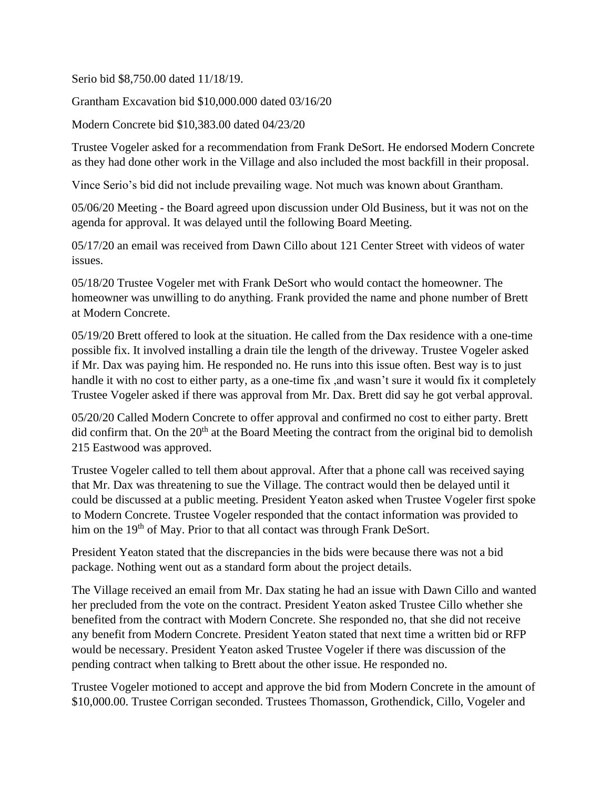Serio bid \$8,750.00 dated 11/18/19.

Grantham Excavation bid \$10,000.000 dated 03/16/20

Modern Concrete bid \$10,383.00 dated 04/23/20

Trustee Vogeler asked for a recommendation from Frank DeSort. He endorsed Modern Concrete as they had done other work in the Village and also included the most backfill in their proposal.

Vince Serio's bid did not include prevailing wage. Not much was known about Grantham.

05/06/20 Meeting - the Board agreed upon discussion under Old Business, but it was not on the agenda for approval. It was delayed until the following Board Meeting.

05/17/20 an email was received from Dawn Cillo about 121 Center Street with videos of water issues.

05/18/20 Trustee Vogeler met with Frank DeSort who would contact the homeowner. The homeowner was unwilling to do anything. Frank provided the name and phone number of Brett at Modern Concrete.

05/19/20 Brett offered to look at the situation. He called from the Dax residence with a one-time possible fix. It involved installing a drain tile the length of the driveway. Trustee Vogeler asked if Mr. Dax was paying him. He responded no. He runs into this issue often. Best way is to just handle it with no cost to either party, as a one-time fix ,and wasn't sure it would fix it completely Trustee Vogeler asked if there was approval from Mr. Dax. Brett did say he got verbal approval.

05/20/20 Called Modern Concrete to offer approval and confirmed no cost to either party. Brett did confirm that. On the  $20<sup>th</sup>$  at the Board Meeting the contract from the original bid to demolish 215 Eastwood was approved.

Trustee Vogeler called to tell them about approval. After that a phone call was received saying that Mr. Dax was threatening to sue the Village. The contract would then be delayed until it could be discussed at a public meeting. President Yeaton asked when Trustee Vogeler first spoke to Modern Concrete. Trustee Vogeler responded that the contact information was provided to him on the 19<sup>th</sup> of May. Prior to that all contact was through Frank DeSort.

President Yeaton stated that the discrepancies in the bids were because there was not a bid package. Nothing went out as a standard form about the project details.

The Village received an email from Mr. Dax stating he had an issue with Dawn Cillo and wanted her precluded from the vote on the contract. President Yeaton asked Trustee Cillo whether she benefited from the contract with Modern Concrete. She responded no, that she did not receive any benefit from Modern Concrete. President Yeaton stated that next time a written bid or RFP would be necessary. President Yeaton asked Trustee Vogeler if there was discussion of the pending contract when talking to Brett about the other issue. He responded no.

Trustee Vogeler motioned to accept and approve the bid from Modern Concrete in the amount of \$10,000.00. Trustee Corrigan seconded. Trustees Thomasson, Grothendick, Cillo, Vogeler and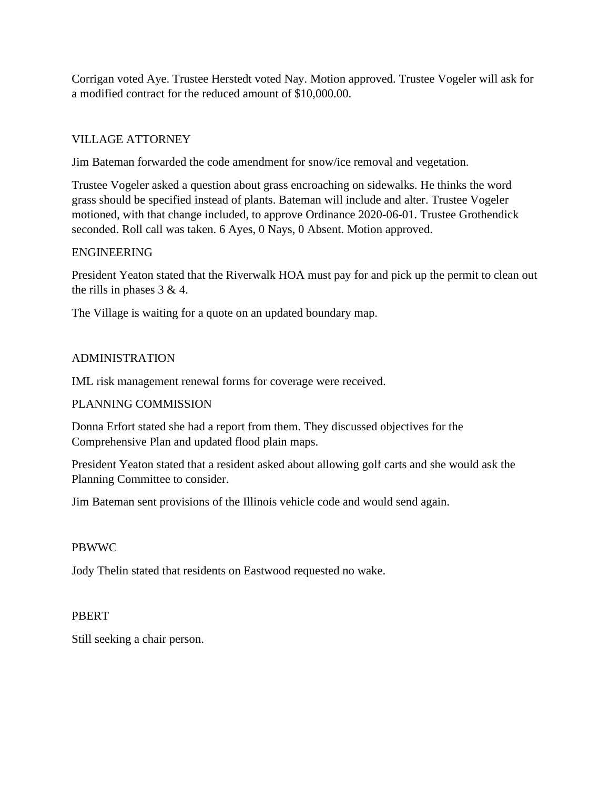Corrigan voted Aye. Trustee Herstedt voted Nay. Motion approved. Trustee Vogeler will ask for a modified contract for the reduced amount of \$10,000.00.

# VILLAGE ATTORNEY

Jim Bateman forwarded the code amendment for snow/ice removal and vegetation.

Trustee Vogeler asked a question about grass encroaching on sidewalks. He thinks the word grass should be specified instead of plants. Bateman will include and alter. Trustee Vogeler motioned, with that change included, to approve Ordinance 2020-06-01. Trustee Grothendick seconded. Roll call was taken. 6 Ayes, 0 Nays, 0 Absent. Motion approved.

### ENGINEERING

President Yeaton stated that the Riverwalk HOA must pay for and pick up the permit to clean out the rills in phases  $3 & 4$ .

The Village is waiting for a quote on an updated boundary map.

## ADMINISTRATION

IML risk management renewal forms for coverage were received.

### PLANNING COMMISSION

Donna Erfort stated she had a report from them. They discussed objectives for the Comprehensive Plan and updated flood plain maps.

President Yeaton stated that a resident asked about allowing golf carts and she would ask the Planning Committee to consider.

Jim Bateman sent provisions of the Illinois vehicle code and would send again.

### PBWWC

Jody Thelin stated that residents on Eastwood requested no wake.

### PBERT

Still seeking a chair person.